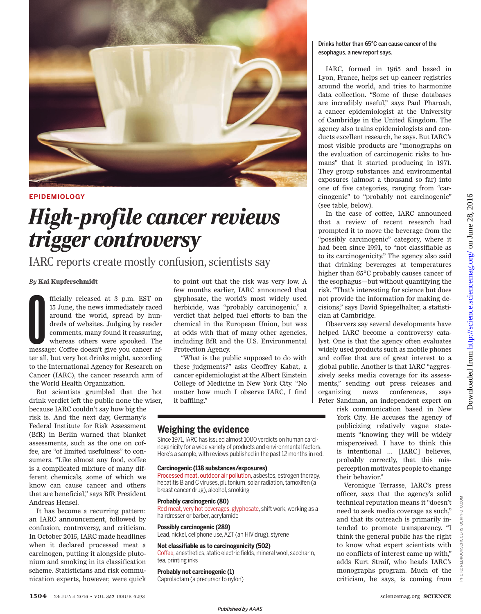

## **EPIDEMIOLOGY**

## *High-profile cancer reviews trigger controversy*

IARC reports create mostly confusion, scientists say

## *By* **Kai Kupferschmidt**

fficially released at 3 p.m. EST on 15 June, the news immediately raced around the world, spread by hundreds of websites. Judging by reader comments, many found it reassuring, whereas others were spooked. The message: Coff fficially released at 3 p.m. EST on 15 June, the news immediately raced around the world, spread by hundreds of websites. Judging by reader comments, many found it reassuring, whereas others were spooked. The ter all, but very hot drinks might, according to the International Agency for Research on Cancer (IARC), the cancer research arm of the World Health Organization.

But scientists grumbled that the hot drink verdict left the public none the wiser, because IARC couldn't say how big the risk is. And the next day, Germany's Federal Institute for Risk Assessment (BfR) in Berlin warned that blanket assessments, such as the one on coffee, are "of limited usefulness" to consumers. "Like almost any food, coffee is a complicated mixture of many different chemicals, some of which we know can cause cancer and others that are beneficial," says BfR President Andreas Hensel.

It has become a recurring pattern: an IARC announcement, followed by confusion, controversy, and criticism. In October 2015, IARC made headlines when it declared processed meat a carcinogen, putting it alongside plutonium and smoking in its classification scheme. Statisticians and risk communication experts, however, were quick

to point out that the risk was very low. A few months earlier, IARC announced that glyphosate, the world's most widely used herbicide, was "probably carcinogenic," a verdict that helped fuel efforts to ban the chemical in the European Union, but was at odds with that of many other agencies, including BfR and the U.S. Environmental Protection Agency.

"What is the public supposed to do with these judgments?" asks Geoffrey Kabat, a cancer epidemiologist at the Albert Einstein College of Medicine in New York City. "No matter how much I observe IARC, I find it baffling."

## **Weighing the evidence**

Since 1971, IARC has issued almost 1000 verdicts on human carcinogenicity for a wide variety of products and environmental factors. Here's a sample, with reviews published in the past 12 months in red.

## **Carcinogenic (118 substances/exposures)**

Processed meat, outdoor air pollution, asbestos, estrogen therapy, hepatitis B and C viruses, plutonium, solar radiation, tamoxifen (a breast cancer drug), alcohol, smoking

#### **Probably carcinogenic (80)**

Red meat, very hot beverages, glyphosate, shift work, working as a hairdresser or barber, acrylamide

#### **Possibly carcinogenic (289)**

Lead, nickel, cellphone use, AZT (an HIV drug), styrene

## **Not classifiable as to carcinogenicity (502)**

Coffee, anesthetics, static electric fields, mineral wool, saccharin, tea, printing inks

## **Probably not carcinogenic (1)**

Caprolactam (a precursor to nylon)

## Drinks hotter than 65°C can cause cancer of the esophagus, a new report says.

IARC, formed in 1965 and based in Lyon, France, helps set up cancer registries around the world, and tries to harmonize data collection. "Some of these databases are incredibly useful," says Paul Pharoah, a cancer epidemiologist at the University of Cambridge in the United Kingdom. The agency also trains epidemiologists and conducts excellent research, he says. But IARC's most visible products are "monographs on the evaluation of carcinogenic risks to humans" that it started producing in 1971. They group substances and environmental exposures (almost a thousand so far) into one of five categories, ranging from "carcinogenic" to "probably not carcinogenic" (see table, below).

In the case of coffee, IARC announced that a review of recent research had prompted it to move the beverage from the "possibly carcinogenic" category, where it had been since 1991, to "not classifiable as to its carcinogenicity." The agency also said that drinking beverages at temperatures higher than 65°C probably causes cancer of the esophagus—but without quantifying the risk. "That's interesting for science but does not provide the information for making decisions," says David Spiegelhalter, a statistician at Cambridge.

Observers say several developments have helped IARC become a controversy catalyst. One is that the agency often evaluates widely used products such as mobile phones and coffee that are of great interest to a global public. Another is that IARC "aggressively seeks media coverage for its assessments," sending out press releases and organizing news conferences, says Peter Sandman, an independent expert on

risk communication based in New York City. He accuses the agency of publicizing relatively vague statements "knowing they will be widely misperceived. I have to think this is intentional … [IARC] believes, probably correctly, that this misperception motivates people to change their behavior."

Veronique Terrasse, IARC's press officer, says that the agency's solid technical reputation means it "doesn't need to seek media coverage as such," and that its outreach is primarily intended to promote transparency. "I think the general public has the right to know what expert scientists with no conflicts of interest came up with," adds Kurt Straif, who heads IARC's monographs program. Much of the criticism, he says, is coming from

PHOTO: REDROCKSCHOOL/ISTOCKPHOTO.COM

PHOTO:

KSCHOOL/ISTOCKPHOTO.

com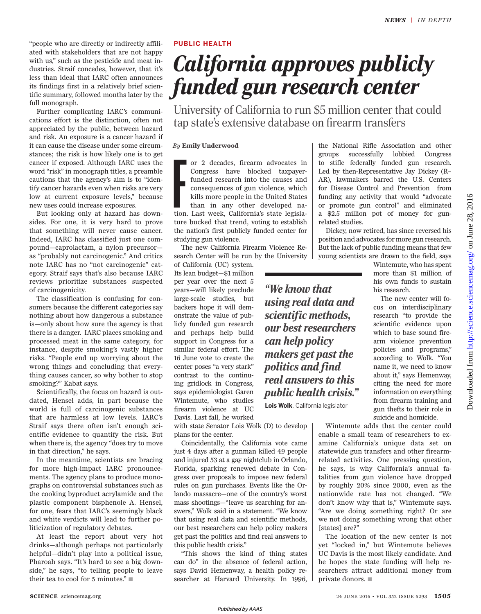"people who are directly or indirectly affiliated with stakeholders that are not happy with us," such as the pesticide and meat industries. Straif concedes, however, that it's less than ideal that IARC often announces its findings first in a relatively brief scientific summary, followed months later by the full monograph.

Further complicating IARC's communications effort is the distinction, often not appreciated by the public, between hazard and risk. An exposure is a cancer hazard if it can cause the disease under some circumstances; the risk is how likely one is to get cancer if exposed. Although IARC uses the word "risk" in monograph titles, a preamble cautions that the agency's aim is to "identify cancer hazards even when risks are very low at current exposure levels," because new uses could increase exposures.

But looking only at hazard has downsides. For one, it is very hard to prove that something will never cause cancer. Indeed, IARC has classified just one compound—caprolactam, a nylon precursor as "probably not carcinogenic." And critics note IARC has no "not carcinogenic" category. Straif says that's also because IARC reviews prioritize substances suspected of carcinogenicity.

The classification is confusing for consumers because the different categories say nothing about how dangerous a substance is—only about how sure the agency is that there is a danger. IARC places smoking and processed meat in the same category, for instance, despite smoking's vastly higher risks. "People end up worrying about the wrong things and concluding that everything causes cancer, so why bother to stop smoking?" Kabat says.

Scientifically, the focus on hazard is outdated, Hensel adds, in part because the world is full of carcinogenic substances that are harmless at low levels. IARC's Straif says there often isn't enough scientific evidence to quantify the risk. But when there is, the agency "does try to move in that direction," he says.

In the meantime, scientists are bracing for more high-impact IARC pronouncements. The agency plans to produce monographs on controversial substances such as the cooking byproduct acrylamide and the plastic component bisphenole A. Hensel, for one, fears that IARC's seemingly black and white verdicts will lead to further politicization of regulatory debates.

At least the report about very hot drinks—although perhaps not particularly helpful—didn't play into a political issue, Pharoah says. "It's hard to see a big downside," he says, "to telling people to leave their tea to cool for 5 minutes." $\blacksquare$ 

## **PUBLIC HEALTH**

# *California approves publicly funded gun research center*

University of California to run \$5 million center that could tap state's extensive database on firearm transfers

*By* **Emily Underwood**

or 2 decades, firearm advocates in Congress have blocked taxpayer-funded research into the causes and consequences of gun violence, which kills more people in the United States than in any other developed nation. Last week or 2 decades, firearm advocates in Congress have blocked taxpayerfunded research into the causes and consequences of gun violence, which kills more people in the United States than in any other developed nature bucked that trend, voting to establish the nation's first publicly funded center for studying gun violence.

The new California Firearm Violence Research Center will be run by the University

of California (UC) system. Its lean budget—\$1 million per year over the next 5 years—will likely preclude large-scale studies, but backers hope it will demonstrate the value of publicly funded gun research and perhaps help build support in Congress for a similar federal effort. The 16 June vote to create the center poses "a very stark" contrast to the continuing gridlock in Congress, says epidemiologist Garen Wintemute, who studies firearm violence at UC Davis. Last fall, he worked

with state Senator Lois Wolk (D) to develop plans for the center.

Coincidentally, the California vote came just 4 days after a gunman killed 49 people and injured 53 at a gay nightclub in Orlando, Florida, sparking renewed debate in Congress over proposals to impose new federal rules on gun purchases. Events like the Orlando massacre—one of the country's worst mass shootings—"leave us searching for answers," Wolk said in a statement. "We know that using real data and scientific methods, our best researchers can help policy makers get past the politics and find real answers to this public health crisis."

"This shows the kind of thing states can do" in the absence of federal action, says David Hemenway, a health policy researcher at Harvard University. In 1996, the National Rifle Association and other groups successfully lobbied Congress to stifle federally funded gun research. Led by then-Representative Jay Dickey (R– AR), lawmakers barred the U.S. Centers for Disease Control and Prevention from funding any activity that would "advocate or promote gun control" and eliminated a \$2.5 million pot of money for gunrelated studies.

Dickey, now retired, has since reversed his position and advocates for more gun research. But the lack of public funding means that few young scientists are drawn to the field, says

> Wintemute, who has spent more than \$1 million of his own funds to sustain his research.

> The new center will focus on interdisciplinary research "to provide the scientific evidence upon which to base sound firearm violence prevention policies and programs," according to Wolk. "You name it, we need to know about it," says Hemenway, citing the need for more information on everything from firearm training and gun thefts to their role in suicide and homicide.

<http://science.sciencemag.org/> on June 28, 2016 Oownloaded from http://science.sciencemag.org/ on June 28, Downloaded from

2016

*using real data and scientific methods, our best researchers can help policy makers get past the politics and find real answers to this public health crisis."*

*"We know that*

**Lois Wolk**, California legislator

Wintemute adds that the center could enable a small team of researchers to examine California's unique data set on statewide gun transfers and other firearmrelated activities. One pressing question, he says, is why California's annual fatalities from gun violence have dropped by roughly 20% since 2000, even as the nationwide rate has not changed. "We don't know why that is," Wintemute says. "Are we doing something right? Or are we not doing something wrong that other [states] are?"

The location of the new center is not yet "locked in," but Wintemute believes UC Davis is the most likely candidate. And he hopes the state funding will help researchers attract additional money from private donors.  $\blacksquare$